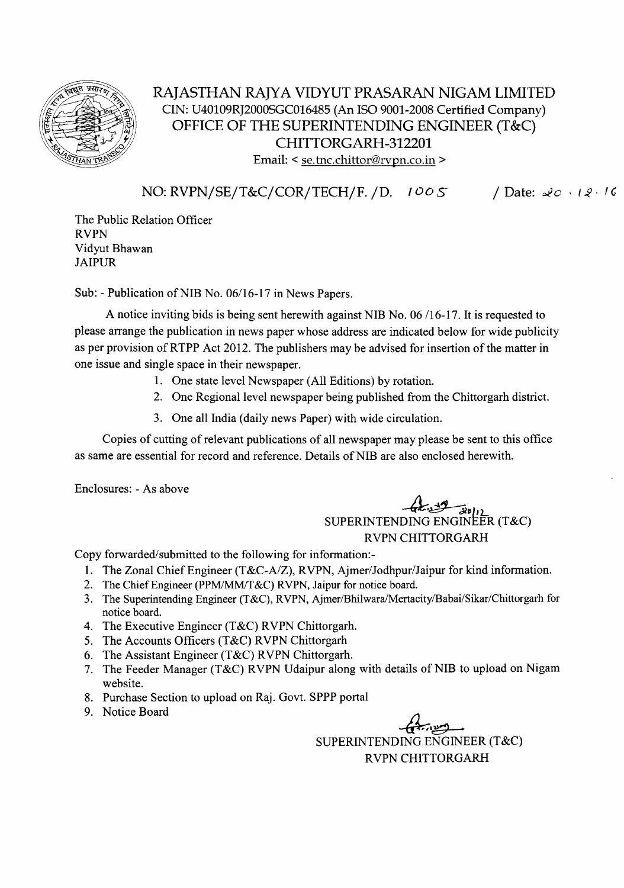

# RAJASTHAN RAJYA VIDYUT PRASARAN NIGAM LIMITED CIN: U40109RJ2000SGCOl6485 (An ISO 9001-2008 Certified Company) OFFICE OF THE SUPERINTENDING ENGINEER (T&C) CHITTORGARH-312201 Email:  $\leq$  se.tnc.chittor@rvpn.co.in  $>$

NO: RVPN/SE/T&C/COR/TECH/F. /D. *1005* / Date: 20 . 12. 16

The Public Relation Officer RVPN Vidyut Bhawan JAIPUR

Sub: - Publication of NIB No. 06/16-17 in News Papers.

A notice inviting bids is being sent herewith against NIB No. 06/16-17. It is requested to please arrange the publication in news paper whose address are indicated below for wide publicity as per provision ofRTPP Act 2012. The publishers may be advised for insertion of the matter in one issue and single space in their newspaper.

- 1. One state level Newspaper (All Editions) by rotation.
- 2. One Regional level newspaper being published from the Chittorgarh district.
- 3. One all India (daily news Paper) with wide circulation.

Copies of cutting of relevant publications of all newspaper may please be sent to this office as same are essential for record and reference. Details of NIB are also enclosed herewith.

Enclosures: - As above

# -42:<sub>ال</sub>اہی<del> سکتے ہیں۔</del><br>SUPERINTENDING ENGINEER (T&C) RVPN CHITTORGARH

Copy forwarded/submitted to the following for information:-

- 1. The Zonal Chief Engineer *(T&C-AlZ),* RVPN, Ajmer/Jodhpur/Jaipur for kind information.
- 2. The Chief Engineer (PPM/MM/T&C) RVPN, Jaipur for notice board.
- 3. The Superintending Engineer (T&C), RVPN, Ajmer/Bhilwara/Mertacity/Babai/Sikar/Chittorgarh for notice board.
- 4. The Executive Engineer (T&C) RVPN Chittorgarh.
- 5. The Accounts Officers (T&C) RVPN Chittorgarh
- 6. The Assistant Engineer (T&C) RVPN Chittorgarh.
- 7. The Feeder Manager (T&C) RVPN Udaipur along with details of NIB to upload on Nigam website.
- 8. Purchase Section to upload on Raj. Govt. SPPP portal
- 9. Notice Board

 $47.29$ SUPERINTENDING ENGINEER (T&C) RVPN CHITTORGARH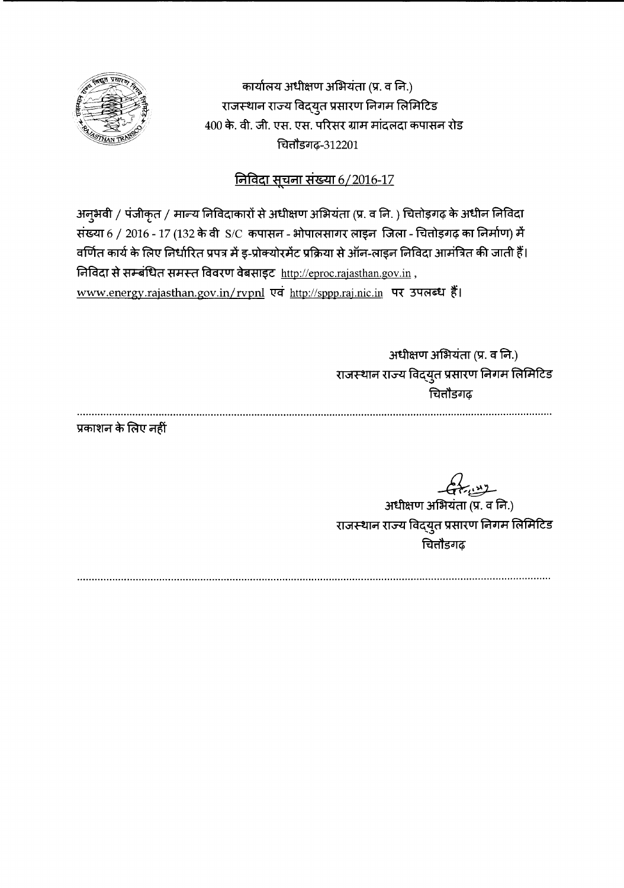

कार्यालय अधीक्षण अभियंता (प्र. व नि.) राजस्थान राज्य विद्युत प्रसारण निगम लिमिटि<del>ड</del> 400 के. वी. जी. एस. एस. परिसर ग्राम मांदलदा कपासन रोड fili11Sd 1*q;-312201*

# <u>निविदा सूचना संख्या 6/2016-17</u>

अनुभवी / पंजीकृत / मान्य निविदाकारों से अधीक्षण अभियंता (प्र. व नि. ) चित्तोड़गढ़ के अधीन निविदा संख्या 6 / 2016 - 17 (132 के वी S/C कपासन - भोपालसागर लाइन जिला - चितोइगढ़ का निर्माण) में वर्णित कार्य के लिए निर्धारित प्रपत्र में इ-प्रोक्योरमेंट प्रक्रिया से ऑन-लाइन निविदा आमंत्रित की जाती हैं।  $f$ निविदा से सम्बंधित समस्त विवरण वेबसाइट http://eproc.rajasthan.gov.in, www.energy.rajasthan.gov.in/rvpnl एवं http://sppp.raj.nic.in पर उपलब्ध हैं।

> .<br>अधीक्षण अभियंता (प्र. व नि.) राजस्थान राज्य विद्युत प्रसारण ानगम लामाटः चित्तौडगढ़

प्रकाशन के लिए नहीं

 $67.22$ 

अधीक्षण अभियंता (प्र. व नि.) राजस्थान राज्य विद्युत प्रसारण निगम लिामाटः चित्तौडगढ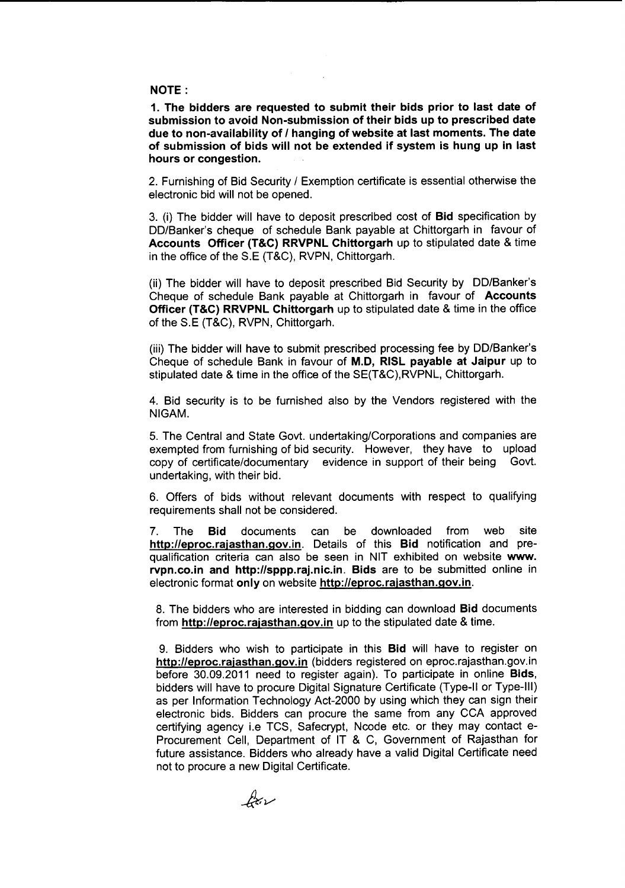#### NOTE:

1. The bidders are requested to submit their bids prior to last date of submission to avoid Non-submission of their bids up to prescribed date due to non-availability of *I* hanging of website at last moments. The date of submission of bids will not be extended if system is hung up in last hours or congestion.

2. Furnishing of Bid Security / Exemption certificate is essential otherwise the electronic bid will not be opened.

3. (i) The bidder will have to deposit prescribed cost of Bid specification by DD/Banker's cheque of schedule Bank payable at Chittorgarh in favour of Accounts Officer (T&C) RRVPNL Chittorgarh up to stipulated date & time in the office of the S.E (T&C), RVPN, Chittorgarh.

(ii) The bidder will have to deposit prescribed Bid Security by DD/Banker's Cheque of schedule Bank payable at Chittorgarh in favour of Accounts Officer (T&C) RRVPNL Chittorgarh up to stipulated date & time in the office of the S.E (T&C), RVPN, Chittorgarh.

(iii) The bidder will have to submit prescribed processing fee by DD/Banker's Cheque of schedule Bank in favour of M.D, RISL payable at Jaipur up to stipulated date & time in the office of the SE(T&C), RVPNL, Chittorgarh.

4. Bid security is to be furnished also by the Vendors registered with the NIGAM.

5. The Central and State Govt. undertaking/Corporationsand companies are exempted from furnishing of bid security. However, they have to upload copy of certificate/documentary evidence in support of their being Govt. undertaking, with their bid.

6. Offers of bids without relevant documents with respect to qualifying requirements shall not be considered.

7. The Bid documents can be downloaded from web site http://eproc.rajasthan.gov.in. Details of this Bid notification and prequalification criteria can also be seen in NIT exhibited on website www. rvpn.co.in and http://sppp.raj.nic.in. Bids are to be submitted online in electronic format only on website http://eproc.rajasthan.gov.in.

8. The bidders who are interested in bidding can download Bid documents from http://eproc.rajasthan.gov.in up to the stipulated date & time.

9. Bidders who wish to participate in this Bid will have to register on http://eproc.rajasthan.gov.in (bidders registered on eproc.rajasthan.gov.in before 30.09.2011 need to register again). To participate in online Bids, bidders will have to procure Digital Signature Certificate (Type-II or Type-III) as per Information Technology Act-2000 by using which they can sign their electronic bids. Bidders can procure the same from any CCA approved certifying agency i.e TCS, Safecrypt, Ncode etc. or they may contact e-Procurement Cell, Department of IT & C, Government of Rajasthan for future assistance. Bidders who already have a valid Digital Certificate need not to procure a new Digital Certificate.

for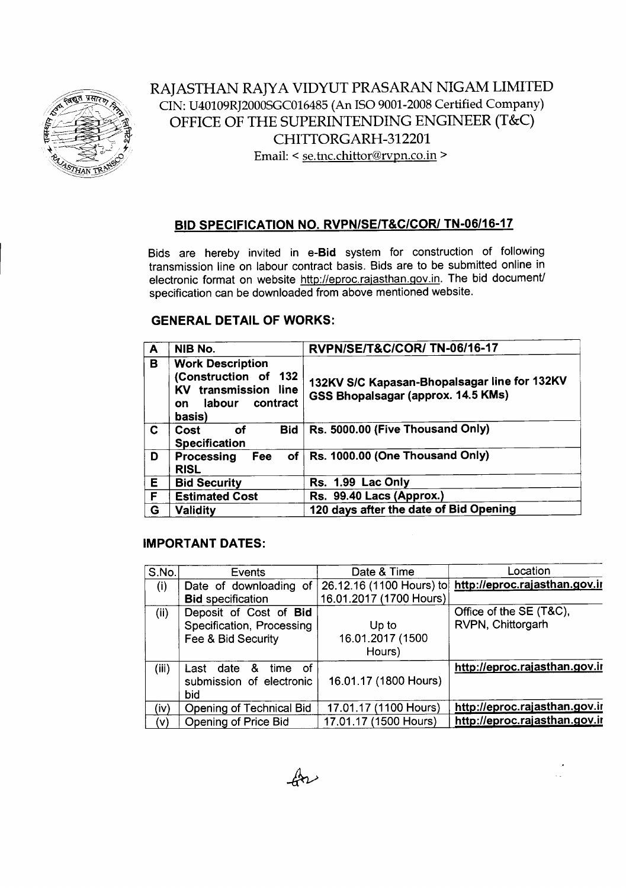

RAJASTHAN RAJYA VIDYUT PRASARAN NIGAM LIMITED CIN: U40109RJ200OSGC016485(An ISO 9001-2008Certified Company) OFFICE OF THE SUPERINTENDING ENGINEER (T&C) CHITTORGARH-312201 Email: < se.tnc.chittor@rvpn.co.in >

### **BID SPECIFICATION NO. RVPN/SE/T&C/CORI** *TN-06/16-17*

Bids are hereby invited in **e-Bid** system for construction of following transmission line on labour contract basis. Bids are to be submitted online in electronic format on website http://eproc.rajasthan.gov.in. The bid document/ specification can be downloaded from above mentioned website.

## **GENERAL DETAIL OF WORKS:**

| $\mathbf{A}$ | NIB No.                                                                                                              | RVPN/SE/T&C/COR/TN-06/16-17                                                        |
|--------------|----------------------------------------------------------------------------------------------------------------------|------------------------------------------------------------------------------------|
| в            | <b>Work Description</b><br>(Construction of 132<br>KV transmission line<br>contract<br>labour<br><b>on</b><br>basis) | 132KV S/C Kapasan-Bhopalsagar line for 132KV<br>GSS Bhopalsagar (approx. 14.5 KMs) |
| C            | <b>Bid</b><br>οf<br>Cost<br><b>Specification</b>                                                                     | Rs. 5000.00 (Five Thousand Only)                                                   |
| D            | Processing<br>Fee<br><b>RISL</b>                                                                                     | of   Rs. 1000.00 (One Thousand Only)                                               |
| Е            | <b>Bid Security</b>                                                                                                  | Rs. 1.99 Lac Only                                                                  |
| F            | <b>Estimated Cost</b>                                                                                                | Rs. 99.40 Lacs (Approx.)                                                           |
| G            | Validity                                                                                                             | 120 days after the date of Bid Opening                                             |

#### **IMPORTANT DATES:**

| S.No. | Events                        | Date & Time              | Location                      |
|-------|-------------------------------|--------------------------|-------------------------------|
| (i)   | Date of downloading of        | 26.12.16 (1100 Hours) to | http://eproc.rajasthan.gov.ir |
|       | <b>Bid specification</b>      | 16.01.2017 (1700 Hours)  |                               |
| (ii)  | Deposit of Cost of Bid        |                          | Office of the SE (T&C),       |
|       | Specification, Processing     | Up to                    | RVPN, Chittorgarh             |
|       | Fee & Bid Security            | 16.01.2017 (1500         |                               |
|       |                               | Hours)                   |                               |
| (iii) | &<br>time<br>-of<br>Last date |                          | http://eproc.rajasthan.gov.ir |
|       | submission of electronic      | 16.01.17 (1800 Hours)    |                               |
|       | bid                           |                          |                               |
| (iv)  | Opening of Technical Bid      | 17.01.17 (1100 Hours)    | http://eproc.rajasthan.gov.ir |
| (v)   | Opening of Price Bid          | 17.01.17 (1500 Hours)    | http://eproc.rajasthan.gov.ir |

 $\mathbb{A}$